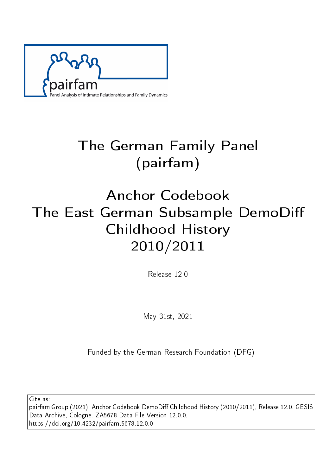

# The German Family Panel (pairfam)

# Anchor Codebook The East German Subsample DemoDi Childhood History 2010/2011

Release 12.0

May 31st, 2021

Funded by the German Research Foundation (DFG)

Cite as:

pairfam Group (2021): Anchor Codebook DemoDiff Childhood History (2010/2011), Release 12.0. GESIS Data Archive, Cologne. ZA5678 Data File Version 12.0.0, https://doi.org/10.4232/pairfam.5678.12.0.0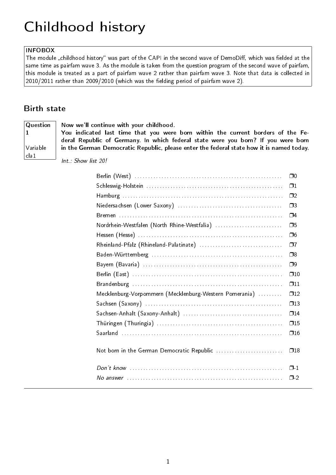## Childhood history

### INFOBOX

The module "childhood history" was part of the CAPI in the second wave of DemoDiff, which was fielded at the same time as pairfam wave 3. As the module is taken from the question program of the second wave of pairfam, this module is treated as a part of pairfam wave 2 rather than pairfam wave 3. Note that data is collected in  $2010/2011$  rather than  $2009/2010$  (which was the fielding period of pairfam wave 2).

### Birth state

**Question** 1 Variable cla1

Now we'll continue with your childhood.

You indicated last time that you were born within the current borders of the Federal Republic of Germany. In which federal state were you born? If you were born in the German Democratic Republic, please enter the federal state how it is named today.

Int.: Show list 20!

|                                                        | $\square$    |
|--------------------------------------------------------|--------------|
|                                                        | $\Box$ 1     |
|                                                        | $\Box$ 2     |
|                                                        | $\square$    |
|                                                        | $\Box$ 4     |
| Nordrhein-Westfalen (North Rhine-Westfalia)            | □5           |
|                                                        | Π6           |
| Rheinland-Pfalz (Rhineland-Palatinate)                 | Ω7           |
|                                                        | ⊡8           |
|                                                        | $\Box$ 9     |
|                                                        | $\square$ 10 |
|                                                        | $\Box$ 11    |
| Mecklenburg-Vorpommern (Mecklenburg-Western Pomerania) | $\Box$ 12    |
|                                                        | $\square$ 13 |
|                                                        | $\square$ 14 |
|                                                        | $\square$ 15 |
|                                                        | $\Box$ 16    |
|                                                        |              |
| Not born in the German Democratic Republic             | $\square$ 18 |
|                                                        | $\Box$ 1     |
|                                                        |              |
|                                                        | $\Box$ -2    |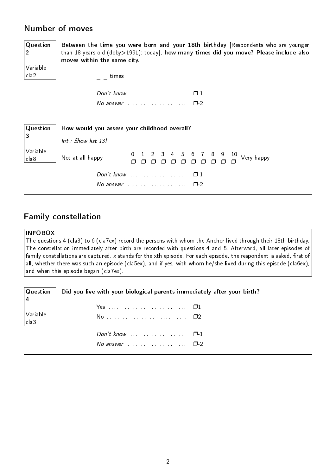## Number of moves

**Question** 2 Variable cla2

Between the time you were born and your 18th birthday [Respondents who are younger than 18 years old (doby>1991): today], how many times did you move? Please include also moves within the same city.

 $=$   $-$  times

| $\sqrt{2}$ No answer |  |  |  |  |  |  |  |  |  |  |  |  |  |
|----------------------|--|--|--|--|--|--|--|--|--|--|--|--|--|

| $\vert$ Question $\vert$               | How would you assess your childhood overall? |  |  |  |        |  |  |
|----------------------------------------|----------------------------------------------|--|--|--|--------|--|--|
| $ 3\rangle$                            | Int.: Show list 13!                          |  |  |  |        |  |  |
| $\bigg \text{Variable} \bigg $ cla $8$ | Not at all happy                             |  |  |  |        |  |  |
|                                        |                                              |  |  |  | $\Box$ |  |  |
|                                        | No answer                                    |  |  |  | $\Box$ |  |  |

## Family constellation

#### **INFOBOX**

The questions 4 (cla3) to 6 (cla7ex) record the persons with whom the Anchor lived through their 18th birthday. The constellation immediately after birth are recorded with questions 4 and 5. Afterward, all later episodes of family constellations are captured. x stands for the xth episode. For each episode, the respondent is asked, first of all, whether there was such an episode (cla5ex), and if yes, with whom he/she lived during this episode (cla6ex), and when this episode began (cla7ex).

| $\mid$ Question                        | Did you live with your biological parents immediately after your birth? |
|----------------------------------------|-------------------------------------------------------------------------|
|                                        |                                                                         |
| $\bigg \text{Variable} \bigg $ cla $3$ |                                                                         |
|                                        |                                                                         |
|                                        | No answer $\cdots$ , $\Box$ 2                                           |